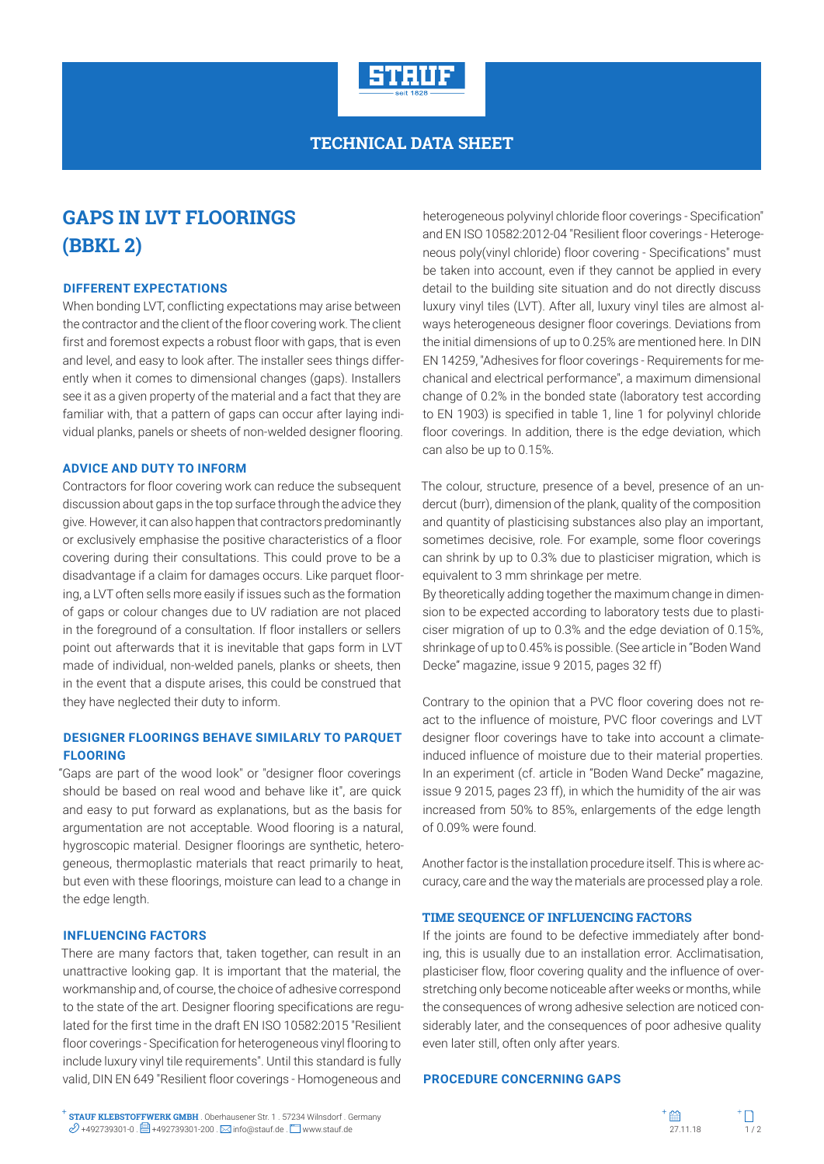

# **TECHNICAL DATA SHEET**

# **GAPS IN LVT FLOORINGS (BBKL 2)**

#### **DIFFERENT EXPECTATIONS**

When bonding LVT, conflicting expectations may arise between the contractor and the client of the floor covering work. The client first and foremost expects a robust floor with gaps, that is even and level, and easy to look after. The installer sees things differently when it comes to dimensional changes (gaps). Installers see it as a given property of the material and a fact that they are familiar with, that a pattern of gaps can occur after laying individual planks, panels or sheets of non-welded designer flooring.

## **ADVICE AND DUTY TO INFORM**

Contractors for floor covering work can reduce the subsequent discussion about gaps in the top surface through the advice they give. However, it can also happen that contractors predominantly or exclusively emphasise the positive characteristics of a floor covering during their consultations. This could prove to be a disadvantage if a claim for damages occurs. Like parquet flooring, a LVT often sells more easily if issues such as the formation of gaps or colour changes due to UV radiation are not placed in the foreground of a consultation. If floor installers or sellers point out afterwards that it is inevitable that gaps form in LVT made of individual, non-welded panels, planks or sheets, then in the event that a dispute arises, this could be construed that they have neglected their duty to inform.

## **DESIGNER FLOORINGS BEHAVE SIMILARLY TO PARQUET FLOORING**

"Gaps are part of the wood look" or "designer floor coverings should be based on real wood and behave like it", are quick and easy to put forward as explanations, but as the basis for argumentation are not acceptable. Wood flooring is a natural, hygroscopic material. Designer floorings are synthetic, heterogeneous, thermoplastic materials that react primarily to heat, but even with these floorings, moisture can lead to a change in the edge length.

#### **INFLUENCING FACTORS**

There are many factors that, taken together, can result in an unattractive looking gap. It is important that the material, the workmanship and, of course, the choice of adhesive correspond to the state of the art. Designer flooring specifications are regulated for the first time in the draft EN ISO 10582:2015 "Resilient floor coverings - Specification for heterogeneous vinyl flooring to include luxury vinyl tile requirements". Until this standard is fully valid, DIN EN 649 "Resilient floor coverings - Homogeneous and

heterogeneous polyvinyl chloride floor coverings - Specification" and EN ISO 10582:2012-04 "Resilient floor coverings - Heterogeneous poly(vinyl chloride) floor covering - Specifications" must be taken into account, even if they cannot be applied in every detail to the building site situation and do not directly discuss luxury vinyl tiles (LVT). After all, luxury vinyl tiles are almost always heterogeneous designer floor coverings. Deviations from the initial dimensions of up to 0.25% are mentioned here. In DIN EN 14259, "Adhesives for floor coverings - Requirements for mechanical and electrical performance", a maximum dimensional change of 0.2% in the bonded state (laboratory test according to EN 1903) is specified in table 1, line 1 for polyvinyl chloride floor coverings. In addition, there is the edge deviation, which can also be up to 0.15%.

The colour, structure, presence of a bevel, presence of an undercut (burr), dimension of the plank, quality of the composition and quantity of plasticising substances also play an important, sometimes decisive, role. For example, some floor coverings can shrink by up to 0.3% due to plasticiser migration, which is equivalent to 3 mm shrinkage per metre.

By theoretically adding together the maximum change in dimension to be expected according to laboratory tests due to plasticiser migration of up to 0.3% and the edge deviation of 0.15%, shrinkage of up to 0.45% is possible. (See article in "Boden Wand Decke" magazine, issue 9 2015, pages 32 ff)

Contrary to the opinion that a PVC floor covering does not react to the influence of moisture, PVC floor coverings and LVT designer floor coverings have to take into account a climateinduced influence of moisture due to their material properties. In an experiment (cf. article in "Boden Wand Decke" magazine, issue 9 2015, pages 23 ff), in which the humidity of the air was increased from 50% to 85%, enlargements of the edge length of 0.09% were found.

Another factor is the installation procedure itself. This is where accuracy, care and the way the materials are processed play a role.

#### **TIME SEQUENCE OF INFLUENCING FACTORS**

If the joints are found to be defective immediately after bonding, this is usually due to an installation error. Acclimatisation, plasticiser flow, floor covering quality and the influence of overstretching only become noticeable after weeks or months, while the consequences of wrong adhesive selection are noticed considerably later, and the consequences of poor adhesive quality even later still, often only after years.

## **PROCEDURE CONCERNING GAPS**